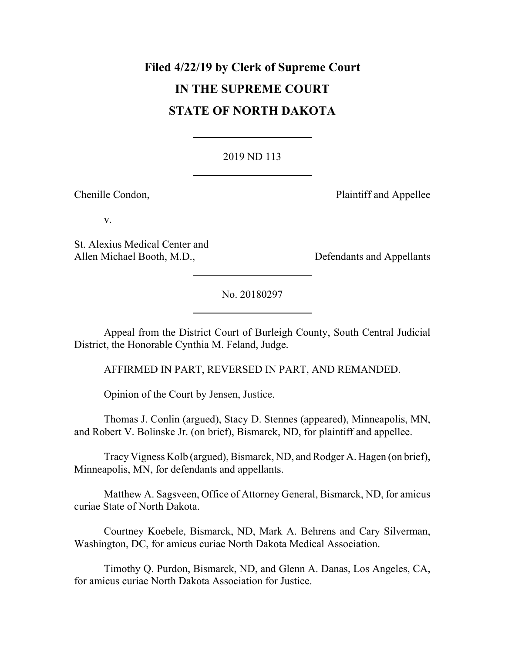# **Filed 4/22/19 by Clerk of Supreme Court IN THE SUPREME COURT STATE OF NORTH DAKOTA**

# [2019 ND 113](http://www.ndcourts.gov/supreme-court/opinion/2019ND113)

Chenille Condon, **Plaintiff and Appellee** 

v.

St. Alexius Medical Center and Allen Michael Booth, M.D., Defendants and Appellants

[No. 20180297](http://www.ndcourts.gov/supreme-court/dockets/20180297)

Appeal from the District Court of Burleigh County, South Central Judicial District, the Honorable Cynthia M. Feland, Judge.

AFFIRMED IN PART, REVERSED IN PART, AND REMANDED.

Opinion of the Court by Jensen, Justice.

Thomas J. Conlin (argued), Stacy D. Stennes (appeared), Minneapolis, MN, and Robert V. Bolinske Jr. (on brief), Bismarck, ND, for plaintiff and appellee.

Tracy Vigness Kolb (argued), Bismarck, ND, and Rodger A. Hagen (on brief), Minneapolis, MN, for defendants and appellants.

Matthew A. Sagsveen, Office of Attorney General, Bismarck, ND, for amicus curiae State of North Dakota.

Courtney Koebele, Bismarck, ND, Mark A. Behrens and Cary Silverman, Washington, DC, for amicus curiae North Dakota Medical Association.

Timothy Q. Purdon, Bismarck, ND, and Glenn A. Danas, Los Angeles, CA, for amicus curiae North Dakota Association for Justice.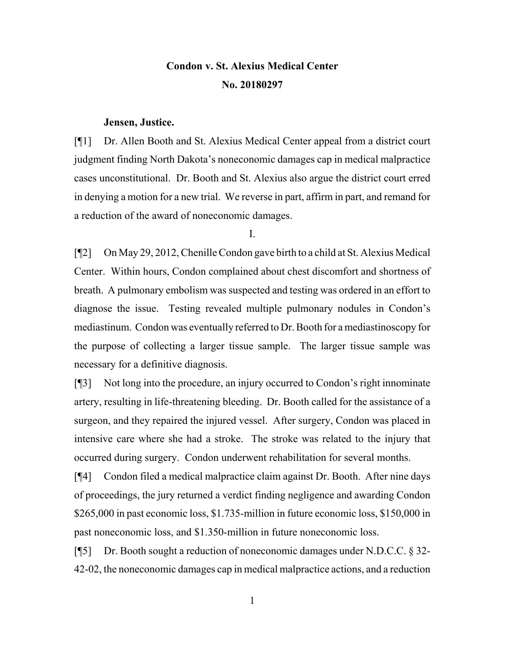# **Condon v. St. Alexius Medical Center [No. 20180297](http://www.ndcourts.gov/supreme-court/dockets/20180297)**

#### **Jensen, Justice.**

[¶1] Dr. Allen Booth and St. Alexius Medical Center appeal from a district court judgment finding North Dakota's noneconomic damages cap in medical malpractice cases unconstitutional. Dr. Booth and St. Alexius also argue the district court erred in denying a motion for a new trial. We reverse in part, affirm in part, and remand for a reduction of the award of noneconomic damages.

I.

[¶2] On May 29, 2012, Chenille Condon gave birth to a child at St. Alexius Medical Center. Within hours, Condon complained about chest discomfort and shortness of breath. A pulmonary embolism was suspected and testing was ordered in an effort to diagnose the issue. Testing revealed multiple pulmonary nodules in Condon's mediastinum. Condon was eventually referred to Dr. Booth for a mediastinoscopy for the purpose of collecting a larger tissue sample. The larger tissue sample was necessary for a definitive diagnosis.

[¶3] Not long into the procedure, an injury occurred to Condon's right innominate artery, resulting in life-threatening bleeding. Dr. Booth called for the assistance of a surgeon, and they repaired the injured vessel. After surgery, Condon was placed in intensive care where she had a stroke. The stroke was related to the injury that occurred during surgery. Condon underwent rehabilitation for several months.

[¶4] Condon filed a medical malpractice claim against Dr. Booth. After nine days of proceedings, the jury returned a verdict finding negligence and awarding Condon \$265,000 in past economic loss, \$1.735-million in future economic loss, \$150,000 in past noneconomic loss, and \$1.350-million in future noneconomic loss.

[¶5] Dr. Booth sought a reduction of noneconomic damages under N.D.C.C. § 32- 42-02, the noneconomic damages cap in medical malpractice actions, and a reduction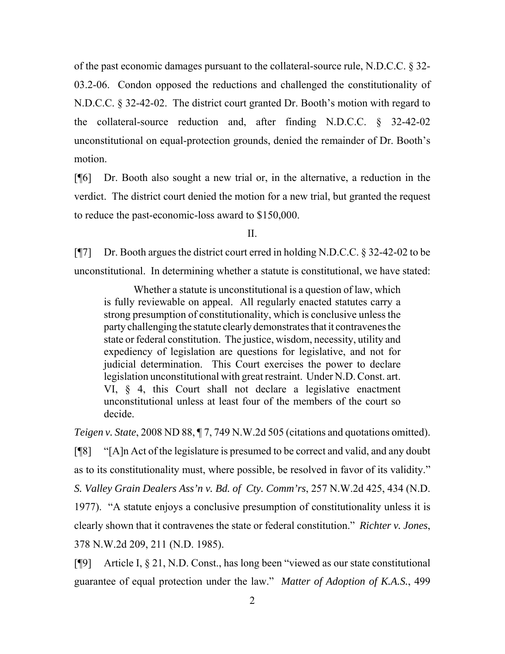of the past economic damages pursuant to the collateral-source rule, N.D.C.C. § 32- 03.2-06. Condon opposed the reductions and challenged the constitutionality of N.D.C.C. § 32-42-02. The district court granted Dr. Booth's motion with regard to the collateral-source reduction and, after finding N.D.C.C. § 32-42-02 unconstitutional on equal-protection grounds, denied the remainder of Dr. Booth's motion.

[¶6] Dr. Booth also sought a new trial or, in the alternative, a reduction in the verdict. The district court denied the motion for a new trial, but granted the request to reduce the past-economic-loss award to \$150,000.

II.

[¶7] Dr. Booth argues the district court erred in holding N.D.C.C. § 32-42-02 to be unconstitutional. In determining whether a statute is constitutional, we have stated:

Whether a statute is unconstitutional is a question of law, which is fully reviewable on appeal. All regularly enacted statutes carry a strong presumption of constitutionality, which is conclusive unless the party challenging the statute clearly demonstrates that it contravenes the state or federal constitution. The justice, wisdom, necessity, utility and expediency of legislation are questions for legislative, and not for judicial determination. This Court exercises the power to declare legislation unconstitutional with great restraint. Under N.D. Const. art. VI, § 4, this Court shall not declare a legislative enactment unconstitutional unless at least four of the members of the court so decide.

*Teigen v. State*, [2008 ND 88,](http://www.ndcourts.gov/supreme-court/opinion/2008ND88) ¶ 7, [749 N.W.2d 505](http://www.ndcourts.gov/supreme-court/opinion/749NW2d505) (citations and quotations omitted).

[¶8] "[A]n Act of the legislature is presumed to be correct and valid, and any doubt as to its constitutionality must, where possible, be resolved in favor of its validity." *S. Valley Grain Dealers Ass'n v. Bd. of Cty. Comm'rs*, [257 N.W.2d 425,](http://www.ndcourts.gov/supreme-court/opinion/257NW2d425) 434 (N.D. 1977). "A statute enjoys a conclusive presumption of constitutionality unless it is clearly shown that it contravenes the state or federal constitution." *Richter v. Jones*, [378 N.W.2d 209,](http://www.ndcourts.gov/supreme-court/opinion/378NW2d209) 211 (N.D. 1985).

[¶9] Article I, § 21, N.D. Const., has long been "viewed as our state constitutional guarantee of equal protection under the law." *Matter of Adoption of K.A.S.*, [499](http://www.ndcourts.gov/supreme-court/opinion/499NW2d558)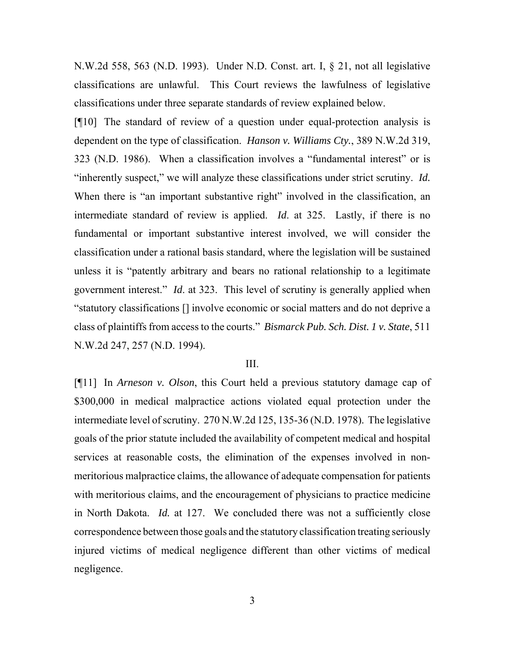[N.W.2d 558,](http://www.ndcourts.gov/supreme-court/opinion/499NW2d558) 563 (N.D. 1993). Under N.D. Const. art. I, § 21, not all legislative classifications are unlawful. This Court reviews the lawfulness of legislative classifications under three separate standards of review explained below.

[¶10] The standard of review of a question under equal-protection analysis is dependent on the type of classification. *Hanson v. Williams Cty.*, [389 N.W.2d 319,](http://www.ndcourts.gov/supreme-court/opinion/389NW2d319) 323 (N.D. 1986). When a classification involves a "fundamental interest" or is "inherently suspect," we will analyze these classifications under strict scrutiny. *Id.* When there is "an important substantive right" involved in the classification, an intermediate standard of review is applied. *Id*. at 325. Lastly, if there is no fundamental or important substantive interest involved, we will consider the classification under a rational basis standard, where the legislation will be sustained unless it is "patently arbitrary and bears no rational relationship to a legitimate government interest." *Id*. at 323. This level of scrutiny is generally applied when "statutory classifications [] involve economic or social matters and do not deprive a class of plaintiffs from access to the courts." *Bismarck Pub. Sch. Dist. 1 v. State*, [511](http://www.ndcourts.gov/supreme-court/opinion/511NW2d247) [N.W.2d 247,](http://www.ndcourts.gov/supreme-court/opinion/511NW2d247) 257 (N.D. 1994).

## III.

[¶11] In *Arneson v. Olson*, this Court held a previous statutory damage cap of \$300,000 in medical malpractice actions violated equal protection under the intermediate level of scrutiny. [270 N.W.2d 125,](http://www.ndcourts.gov/supreme-court/opinion/270NW2d125) 135-36 (N.D. 1978). The legislative goals of the prior statute included the availability of competent medical and hospital services at reasonable costs, the elimination of the expenses involved in nonmeritorious malpractice claims, the allowance of adequate compensation for patients with meritorious claims, and the encouragement of physicians to practice medicine in North Dakota. *Id.* at 127. We concluded there was not a sufficiently close correspondence between those goals and the statutory classification treating seriously injured victims of medical negligence different than other victims of medical negligence.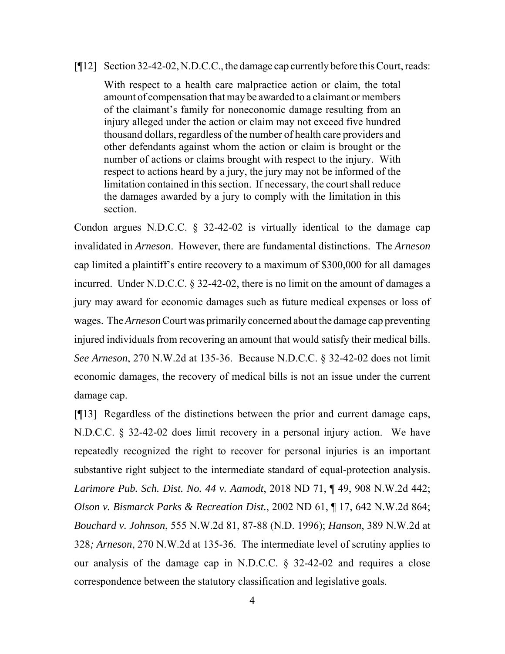#### [¶12] Section 32-42-02, N.D.C.C., the damage cap currently before this Court, reads:

With respect to a health care malpractice action or claim, the total amount of compensation that may be awarded to a claimant or members of the claimant's family for noneconomic damage resulting from an injury alleged under the action or claim may not exceed five hundred thousand dollars, regardless of the number of health care providers and other defendants against whom the action or claim is brought or the number of actions or claims brought with respect to the injury. With respect to actions heard by a jury, the jury may not be informed of the limitation contained in this section. If necessary, the court shall reduce the damages awarded by a jury to comply with the limitation in this section.

Condon argues N.D.C.C. § 32-42-02 is virtually identical to the damage cap invalidated in *Arneson*. However, there are fundamental distinctions. The *Arneson* cap limited a plaintiff's entire recovery to a maximum of \$300,000 for all damages incurred. Under N.D.C.C. § 32-42-02, there is no limit on the amount of damages a jury may award for economic damages such as future medical expenses or loss of wages. The *Arneson* Court was primarily concerned about the damage cap preventing injured individuals from recovering an amount that would satisfy their medical bills. *See Arneson*, 270 N.W.2d at 135-36. Because N.D.C.C. § 32-42-02 does not limit economic damages, the recovery of medical bills is not an issue under the current damage cap.

[¶13] Regardless of the distinctions between the prior and current damage caps, N.D.C.C. § 32-42-02 does limit recovery in a personal injury action. We have repeatedly recognized the right to recover for personal injuries is an important substantive right subject to the intermediate standard of equal-protection analysis. *Larimore Pub. Sch. Dist. No. 44 v. Aamodt*, [2018 ND 71,](http://www.ndcourts.gov/supreme-court/opinion/2018ND71) ¶ 49, [908 N.W.2d 442;](http://www.ndcourts.gov/supreme-court/opinion/908NW2d442) *Olson v. Bismarck Parks & Recreation Dist.*, [2002 ND 61,](http://www.ndcourts.gov/supreme-court/opinion/2002ND61) ¶ 17, [642 N.W.2d 864;](http://www.ndcourts.gov/supreme-court/opinion/642NW2d864) *Bouchard v. Johnson*, 555 N.W.2d 81, 87-88 (N.D. 1996); *Hanson*, 389 N.W.2d at 328*; Arneson*, 270 N.W.2d at 135-36. The intermediate level of scrutiny applies to our analysis of the damage cap in N.D.C.C. § 32-42-02 and requires a close correspondence between the statutory classification and legislative goals.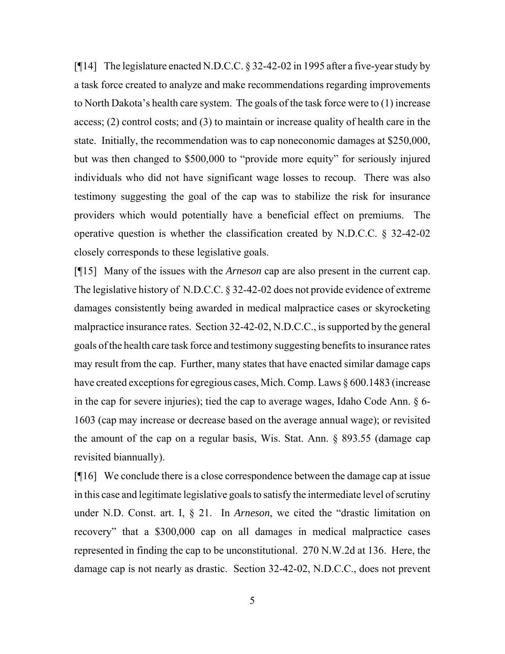[¶14] The legislature enacted N.D.C.C. § 32-42-02 in 1995 after a five-year study by a task force created to analyze and make recommendations regarding improvements to North Dakota's health care system. The goals of the task force were to (1) increase access; (2) control costs; and (3) to maintain or increase quality of health care in the state. Initially, the recommendation was to cap noneconomic damages at \$250,000, but was then changed to \$500,000 to "provide more equity" for seriously injured individuals who did not have significant wage losses to recoup. There was also testimony suggesting the goal of the cap was to stabilize the risk for insurance providers which would potentially have a beneficial effect on premiums. The operative question is whether the classification created by N.D.C.C. § 32-42-02 closely corresponds to these legislative goals.

[¶15] Many of the issues with the *Arneson* cap are also present in the current cap. The legislative history of N.D.C.C. § 32-42-02 does not provide evidence of extreme damages consistently being awarded in medical malpractice cases or skyrocketing malpractice insurance rates. Section 32-42-02, N.D.C.C., is supported by the general goals of the health care task force and testimony suggesting benefits to insurance rates may result from the cap. Further, many states that have enacted similar damage caps have created exceptions for egregious cases, Mich. Comp. Laws § 600.1483 (increase in the cap for severe injuries); tied the cap to average wages, Idaho Code Ann. § 6- 1603 (cap may increase or decrease based on the average annual wage); or revisited the amount of the cap on a regular basis, Wis. Stat. Ann. § 893.55 (damage cap revisited biannually).

[¶16] We conclude there is a close correspondence between the damage cap at issue in this case and legitimate legislative goals to satisfy the intermediate level of scrutiny under N.D. Const. art. I, § 21. In *Arneson*, we cited the "drastic limitation on recovery" that a \$300,000 cap on all damages in medical malpractice cases represented in finding the cap to be unconstitutional. 270 N.W.2d at 136. Here, the damage cap is not nearly as drastic. Section 32-42-02, N.D.C.C., does not prevent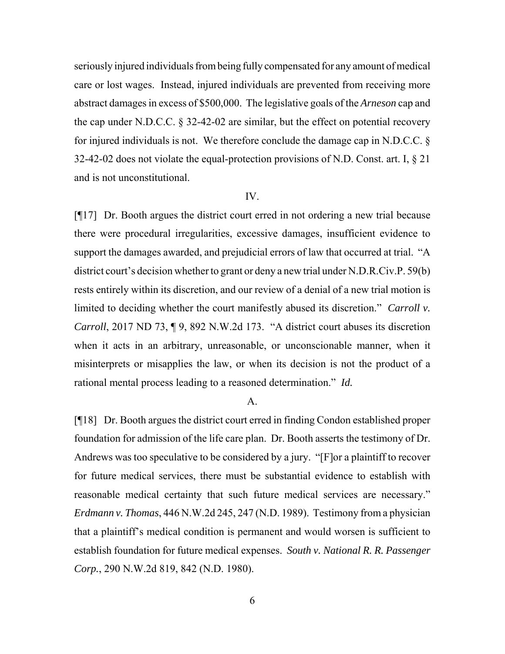seriously injured individuals from being fully compensated for any amount of medical care or lost wages. Instead, injured individuals are prevented from receiving more abstract damages in excess of \$500,000. The legislative goals of the *Arneson* cap and the cap under N.D.C.C. § 32-42-02 are similar, but the effect on potential recovery for injured individuals is not. We therefore conclude the damage cap in N.D.C.C. § 32-42-02 does not violate the equal-protection provisions of N.D. Const. art. I,  $\S 21$ and is not unconstitutional.

# IV.

[¶17] Dr. Booth argues the district court erred in not ordering a new trial because there were procedural irregularities, excessive damages, insufficient evidence to support the damages awarded, and prejudicial errors of law that occurred at trial. "A district court's decision whether to grant or deny a new trial under [N.D.R.Civ.P. 59\(b\)](http://www.ndcourts.gov/legal-resources/rules/ndrcivp/59) rests entirely within its discretion, and our review of a denial of a new trial motion is limited to deciding whether the court manifestly abused its discretion." *Carroll v. Carroll*, [2017 ND 73,](http://www.ndcourts.gov/supreme-court/opinion/2017ND73) ¶ 9, [892 N.W.2d 173.](http://www.ndcourts.gov/supreme-court/opinion/892NW2d173) "A district court abuses its discretion when it acts in an arbitrary, unreasonable, or unconscionable manner, when it misinterprets or misapplies the law, or when its decision is not the product of a rational mental process leading to a reasoned determination." *Id.*

#### A.

[¶18] Dr. Booth argues the district court erred in finding Condon established proper foundation for admission of the life care plan. Dr. Booth asserts the testimony of Dr. Andrews was too speculative to be considered by a jury. "[F]or a plaintiff to recover for future medical services, there must be substantial evidence to establish with reasonable medical certainty that such future medical services are necessary." *Erdmann v. Thomas*, [446 N.W.2d 245,](http://www.ndcourts.gov/supreme-court/opinion/446NW2d245) 247 (N.D. 1989). Testimony from a physician that a plaintiff's medical condition is permanent and would worsen is sufficient to establish foundation for future medical expenses. *South v. National R. R. Passenger Corp.*, [290 N.W.2d 819,](http://www.ndcourts.gov/supreme-court/opinion/290NW2d819) 842 (N.D. 1980).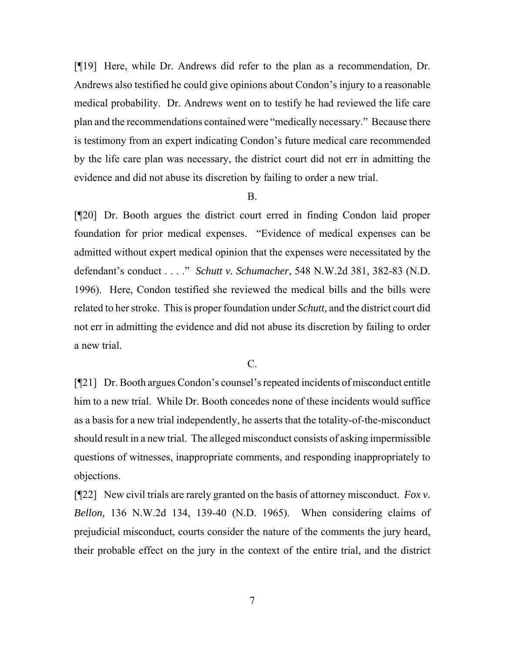[¶19] Here, while Dr. Andrews did refer to the plan as a recommendation, Dr. Andrews also testified he could give opinions about Condon's injury to a reasonable medical probability. Dr. Andrews went on to testify he had reviewed the life care plan and the recommendations contained were "medically necessary." Because there is testimony from an expert indicating Condon's future medical care recommended by the life care plan was necessary, the district court did not err in admitting the evidence and did not abuse its discretion by failing to order a new trial.

## B.

[¶20] Dr. Booth argues the district court erred in finding Condon laid proper foundation for prior medical expenses. "Evidence of medical expenses can be admitted without expert medical opinion that the expenses were necessitated by the defendant's conduct . . . ." *Schutt v. Schumacher*, 548 N.W.2d 381, 382-83 (N.D. 1996). Here, Condon testified she reviewed the medical bills and the bills were related to her stroke. This is proper foundation under *Schutt,* and the district court did not err in admitting the evidence and did not abuse its discretion by failing to order a new trial.

C.

[¶21] Dr. Booth argues Condon's counsel's repeated incidents of misconduct entitle him to a new trial. While Dr. Booth concedes none of these incidents would suffice as a basis for a new trial independently, he asserts that the totality-of-the-misconduct should result in a new trial. The alleged misconduct consists of asking impermissible questions of witnesses, inappropriate comments, and responding inappropriately to objections.

[¶22] New civil trials are rarely granted on the basis of attorney misconduct. *Fox v. Bellon*, 136 N.W.2d 134, 139-40 (N.D. 1965). When considering claims of prejudicial misconduct, courts consider the nature of the comments the jury heard, their probable effect on the jury in the context of the entire trial, and the district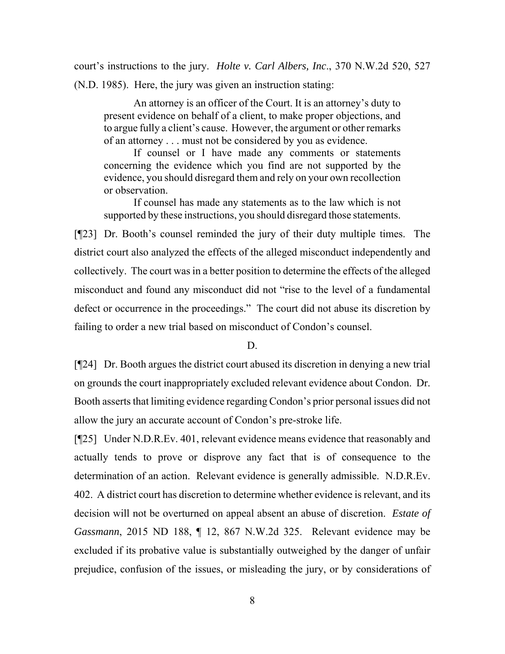court's instructions to the jury. *Holte v. Carl Albers, Inc*., [370 N.W.2d 520,](http://www.ndcourts.gov/supreme-court/opinion/370NW2d520) 527 (N.D. 1985). Here, the jury was given an instruction stating:

An attorney is an officer of the Court. It is an attorney's duty to present evidence on behalf of a client, to make proper objections, and to argue fully a client's cause. However, the argument or other remarks of an attorney . . . must not be considered by you as evidence.

If counsel or I have made any comments or statements concerning the evidence which you find are not supported by the evidence, you should disregard them and rely on your own recollection or observation.

If counsel has made any statements as to the law which is not supported by these instructions, you should disregard those statements.

[¶23] Dr. Booth's counsel reminded the jury of their duty multiple times. The district court also analyzed the effects of the alleged misconduct independently and collectively. The court was in a better position to determine the effects of the alleged misconduct and found any misconduct did not "rise to the level of a fundamental defect or occurrence in the proceedings." The court did not abuse its discretion by failing to order a new trial based on misconduct of Condon's counsel.

#### D.

[¶24] Dr. Booth argues the district court abused its discretion in denying a new trial on grounds the court inappropriately excluded relevant evidence about Condon. Dr. Booth asserts that limiting evidence regarding Condon's prior personal issues did not allow the jury an accurate account of Condon's pre-stroke life.

[¶25] Under [N.D.R.Ev. 401,](http://www.ndcourts.gov/legal-resources/rules/ndrev/40) relevant evidence means evidence that reasonably and actually tends to prove or disprove any fact that is of consequence to the determination of an action. Relevant evidence is generally admissible. [N.D.R.Ev.](http://www.ndcourts.gov/legal-resources/rules/ndrev/40) [402.](http://www.ndcourts.gov/legal-resources/rules/ndrev/40) A district court has discretion to determine whether evidence is relevant, and its decision will not be overturned on appeal absent an abuse of discretion. *Estate of Gassmann*, [2015 ND 188,](http://www.ndcourts.gov/supreme-court/opinion/2015ND188) ¶ 12, [867 N.W.2d 325.](http://www.ndcourts.gov/supreme-court/opinion/867NW2d325) Relevant evidence may be excluded if its probative value is substantially outweighed by the danger of unfair prejudice, confusion of the issues, or misleading the jury, or by considerations of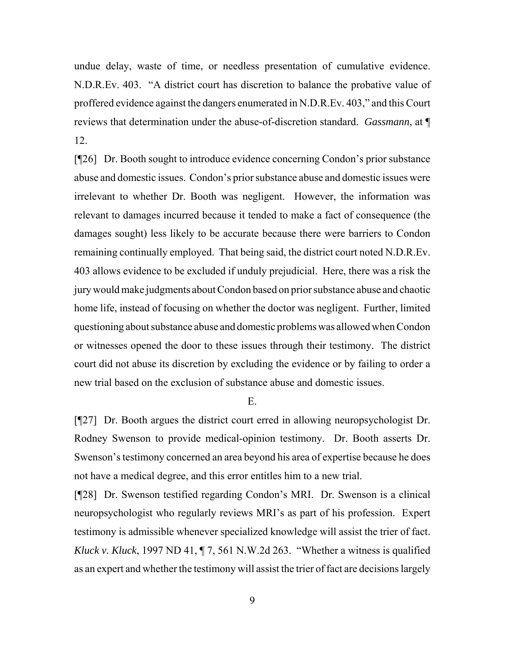undue delay, waste of time, or needless presentation of cumulative evidence. [N.D.R.Ev. 403.](http://www.ndcourts.gov/legal-resources/rules/ndrev/40) "A district court has discretion to balance the probative value of proffered evidence against the dangers enumerated in N.D.R.Ev. 403," and this Court reviews that determination under the abuse-of-discretion standard. *Gassmann*, at ¶ 12.

[¶26] Dr. Booth sought to introduce evidence concerning Condon's prior substance abuse and domestic issues. Condon's prior substance abuse and domestic issues were irrelevant to whether Dr. Booth was negligent. However, the information was relevant to damages incurred because it tended to make a fact of consequence (the damages sought) less likely to be accurate because there were barriers to Condon remaining continually employed. That being said, the district court noted [N.D.R.Ev.](http://www.ndcourts.gov/legal-resources/rules/ndrev/40) [403](http://www.ndcourts.gov/legal-resources/rules/ndrev/40) allows evidence to be excluded if unduly prejudicial. Here, there was a risk the jury would make judgments about Condon based on prior substance abuse and chaotic home life, instead of focusing on whether the doctor was negligent. Further, limited questioning about substance abuse and domestic problems was allowed when Condon or witnesses opened the door to these issues through their testimony. The district court did not abuse its discretion by excluding the evidence or by failing to order a new trial based on the exclusion of substance abuse and domestic issues.

E.

[¶27] Dr. Booth argues the district court erred in allowing neuropsychologist Dr. Rodney Swenson to provide medical-opinion testimony. Dr. Booth asserts Dr. Swenson's testimony concerned an area beyond his area of expertise because he does not have a medical degree, and this error entitles him to a new trial.

[¶28] Dr. Swenson testified regarding Condon's MRI. Dr. Swenson is a clinical neuropsychologist who regularly reviews MRI's as part of his profession. Expert testimony is admissible whenever specialized knowledge will assist the trier of fact. *Kluck v. Kluck*, [1997 ND 41,](http://www.ndcourts.gov/supreme-court/opinion/1997ND41) ¶ 7, 561 N.W.2d 263. "Whether a witness is qualified as an expert and whether the testimony will assist the trier of fact are decisions largely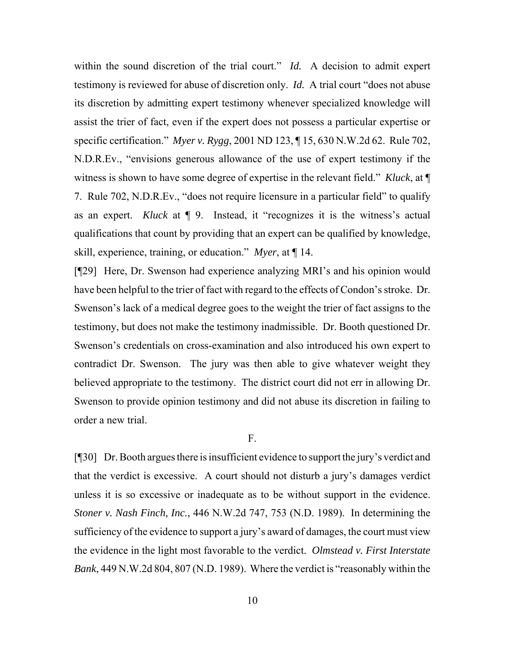within the sound discretion of the trial court." *Id.* A decision to admit expert testimony is reviewed for abuse of discretion only. *Id.* A trial court "does not abuse its discretion by admitting expert testimony whenever specialized knowledge will assist the trier of fact, even if the expert does not possess a particular expertise or specific certification." *Myer v. Rygg*, [2001 ND 123,](http://www.ndcourts.gov/supreme-court/opinion/2001ND123) ¶ 15, [630 N.W.2d 62.](http://www.ndcourts.gov/supreme-court/opinion/630NW2d62) [Rule 702,](http://www.ndcourts.gov/legal-resources/rules/ndrev/70) [N.D.R.Ev.,](http://www.ndcourts.gov/legal-resources/rules/ndrev/70) "envisions generous allowance of the use of expert testimony if the witness is shown to have some degree of expertise in the relevant field." *Kluck*, at ¶ 7. [Rule 702, N.D.R.Ev.,](http://www.ndcourts.gov/legal-resources/rules/ndrev/70) "does not require licensure in a particular field" to qualify as an expert. *Kluck* at ¶ 9. Instead, it "recognizes it is the witness's actual qualifications that count by providing that an expert can be qualified by knowledge, skill, experience, training, or education." *Myer*, at ¶ 14.

[¶29] Here, Dr. Swenson had experience analyzing MRI's and his opinion would have been helpful to the trier of fact with regard to the effects of Condon's stroke. Dr. Swenson's lack of a medical degree goes to the weight the trier of fact assigns to the testimony, but does not make the testimony inadmissible. Dr. Booth questioned Dr. Swenson's credentials on cross-examination and also introduced his own expert to contradict Dr. Swenson. The jury was then able to give whatever weight they believed appropriate to the testimony. The district court did not err in allowing Dr. Swenson to provide opinion testimony and did not abuse its discretion in failing to order a new trial.

F.

[¶30] Dr. Booth argues there is insufficient evidence to support the jury's verdict and that the verdict is excessive. A court should not disturb a jury's damages verdict unless it is so excessive or inadequate as to be without support in the evidence. *Stoner v. Nash Finch, Inc.*, [446 N.W.2d 747,](http://www.ndcourts.gov/supreme-court/opinion/446NW2d747) 753 (N.D. 1989). In determining the sufficiency of the evidence to support a jury's award of damages, the court must view the evidence in the light most favorable to the verdict. *Olmstead v. First Interstate Bank*, [449 N.W.2d 804,](http://www.ndcourts.gov/supreme-court/opinion/449NW2d804) 807 (N.D. 1989). Where the verdict is "reasonably within the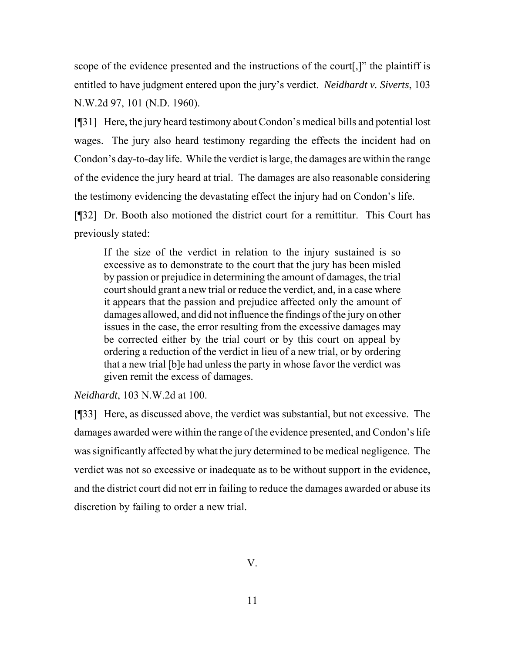scope of the evidence presented and the instructions of the court[,]" the plaintiff is entitled to have judgment entered upon the jury's verdict. *Neidhardt v. Siverts*, 103 N.W.2d 97, 101 (N.D. 1960).

[¶31] Here, the jury heard testimony about Condon's medical bills and potential lost wages. The jury also heard testimony regarding the effects the incident had on Condon's day-to-day life. While the verdict is large, the damages are within the range of the evidence the jury heard at trial. The damages are also reasonable considering the testimony evidencing the devastating effect the injury had on Condon's life.

[¶32] Dr. Booth also motioned the district court for a remittitur. This Court has previously stated:

If the size of the verdict in relation to the injury sustained is so excessive as to demonstrate to the court that the jury has been misled by passion or prejudice in determining the amount of damages, the trial court should grant a new trial or reduce the verdict, and, in a case where it appears that the passion and prejudice affected only the amount of damages allowed, and did not influence the findings of the jury on other issues in the case, the error resulting from the excessive damages may be corrected either by the trial court or by this court on appeal by ordering a reduction of the verdict in lieu of a new trial, or by ordering that a new trial [b]e had unless the party in whose favor the verdict was given remit the excess of damages.

*Neidhardt*, 103 N.W.2d at 100.

[¶33] Here, as discussed above, the verdict was substantial, but not excessive. The damages awarded were within the range of the evidence presented, and Condon's life was significantly affected by what the jury determined to be medical negligence. The verdict was not so excessive or inadequate as to be without support in the evidence, and the district court did not err in failing to reduce the damages awarded or abuse its discretion by failing to order a new trial.